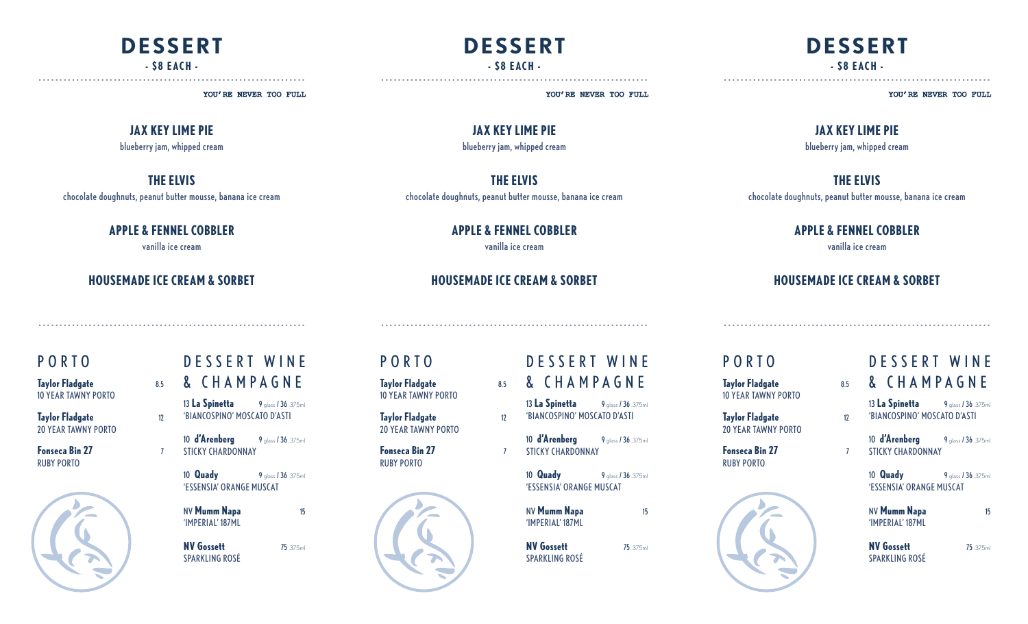## **DESSERT - \$8 EACH -**

----------------------------------------------------------------

YOU'RE NEVER TOO FULL

#### **JAX KEY LIME PIE**

blueberry jam, whipped cream

#### **THE ELVIS**

chocolate doughnuts, peanut butter mousse, banana ice cream

#### **APPLE & FENNEL COBBLER**

vanilla ice cream

#### **HOUSEMADE ICE CREAM & SORBET**

----------------------------------------------------------------

### PORTO

| <b>Taylor Fladgate</b>     | 8.5 |
|----------------------------|-----|
| <b>10 YEAR TAWNY PORTO</b> |     |
|                            |     |

**Taylor Fladgate** 12 20 YEAR TAWNY PORTO

**Fonseca Bin 27** 7 RUBY PORTO



## D E S S E R T W I N E & CHAMPAGNE

13 **La Spinetta** 9 glass / 36 .375ml 'BIANCOSPINO' MOSCATO D'ASTI

10 **d'Arenberg** 9 glass / 36 .375ml STICKY CHARDONNAY

10 **Quady** 9 glass / 36 .375ml 'ESSENSIA' ORANGE MUSCAT

NV **Mumm Napa** 15 'IMPERIAL' 187ML

**NV Gossett** 75 .375ml SPARKLING ROSÉ